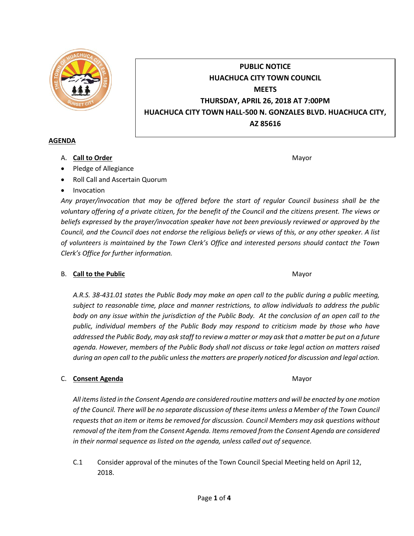

# **PUBLIC NOTICE HUACHUCA CITY TOWN COUNCIL MEETS THURSDAY, APRIL 26, 2018 AT 7:00PM HUACHUCA CITY TOWN HALL-500 N. GONZALES BLVD. HUACHUCA CITY, AZ 85616**

#### **AGENDA**

A. **Call to Order** Mayor **Mayor** Mayor **Mayor** Mayor **Mayor** 

- Pledge of Allegiance
- Roll Call and Ascertain Quorum
- Invocation

*Any prayer/invocation that may be offered before the start of regular Council business shall be the voluntary offering of a private citizen, for the benefit of the Council and the citizens present. The views or beliefs expressed by the prayer/invocation speaker have not been previously reviewed or approved by the Council, and the Council does not endorse the religious beliefs or views of this, or any other speaker. A list of volunteers is maintained by the Town Clerk's Office and interested persons should contact the Town Clerk's Office for further information.*

## B. **Call to the Public** Mayor **Mayor** Mayor **Mayor** Mayor

*A.R.S. 38-431.01 states the Public Body may make an open call to the public during a public meeting, subject to reasonable time, place and manner restrictions, to allow individuals to address the public body on any issue within the jurisdiction of the Public Body. At the conclusion of an open call to the public, individual members of the Public Body may respond to criticism made by those who have addressed the Public Body, may ask staff to review a matter or may ask that a matter be put on a future agenda. However, members of the Public Body shall not discuss or take legal action on matters raised during an open call to the public unless the matters are properly noticed for discussion and legal action.*

## C. **Consent Agenda** Mayor **C. Consent Agenda** Mayor **Mayor**

*All items listed in the Consent Agenda are considered routine matters and will be enacted by one motion of the Council. There will be no separate discussion of these items unless a Member of the Town Council requests that an item or items be removed for discussion. Council Members may ask questions without removal of the item from the Consent Agenda. Items removed from the Consent Agenda are considered in their normal sequence as listed on the agenda, unless called out of sequence.*

C.1 Consider approval of the minutes of the Town Council Special Meeting held on April 12, 2018.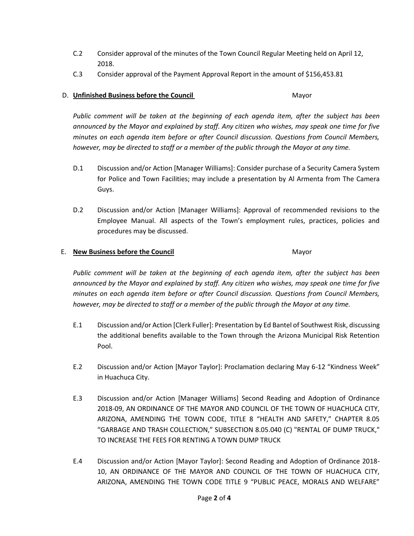- C.2 Consider approval of the minutes of the Town Council Regular Meeting held on April 12, 2018.
- C.3 Consider approval of the Payment Approval Report in the amount of \$156,453.81

# D. **Unfinished Business before the Council** Mayor

*Public comment will be taken at the beginning of each agenda item, after the subject has been announced by the Mayor and explained by staff. Any citizen who wishes, may speak one time for five minutes on each agenda item before or after Council discussion. Questions from Council Members, however, may be directed to staff or a member of the public through the Mayor at any time.*

- D.1 Discussion and/or Action [Manager Williams]: Consider purchase of a Security Camera System for Police and Town Facilities; may include a presentation by Al Armenta from The Camera Guys.
- D.2 Discussion and/or Action [Manager Williams]: Approval of recommended revisions to the Employee Manual. All aspects of the Town's employment rules, practices, policies and procedures may be discussed.

#### E. **New Business before the Council** Mayor

*Public comment will be taken at the beginning of each agenda item, after the subject has been announced by the Mayor and explained by staff. Any citizen who wishes, may speak one time for five minutes on each agenda item before or after Council discussion. Questions from Council Members, however, may be directed to staff or a member of the public through the Mayor at any time.*

- E.1 Discussion and/or Action [Clerk Fuller]: Presentation by Ed Bantel of Southwest Risk, discussing the additional benefits available to the Town through the Arizona Municipal Risk Retention Pool.
- E.2 Discussion and/or Action [Mayor Taylor]: Proclamation declaring May 6-12 "Kindness Week" in Huachuca City.
- E.3 Discussion and/or Action [Manager Williams] Second Reading and Adoption of Ordinance 2018-09, AN ORDINANCE OF THE MAYOR AND COUNCIL OF THE TOWN OF HUACHUCA CITY, ARIZONA, AMENDING THE TOWN CODE, TITLE 8 "HEALTH AND SAFETY," CHAPTER 8.05 "GARBAGE AND TRASH COLLECTION," SUBSECTION 8.05.040 (C) "RENTAL OF DUMP TRUCK," TO INCREASE THE FEES FOR RENTING A TOWN DUMP TRUCK
- E.4 Discussion and/or Action [Mayor Taylor]: Second Reading and Adoption of Ordinance 2018- 10, AN ORDINANCE OF THE MAYOR AND COUNCIL OF THE TOWN OF HUACHUCA CITY, ARIZONA, AMENDING THE TOWN CODE TITLE 9 "PUBLIC PEACE, MORALS AND WELFARE"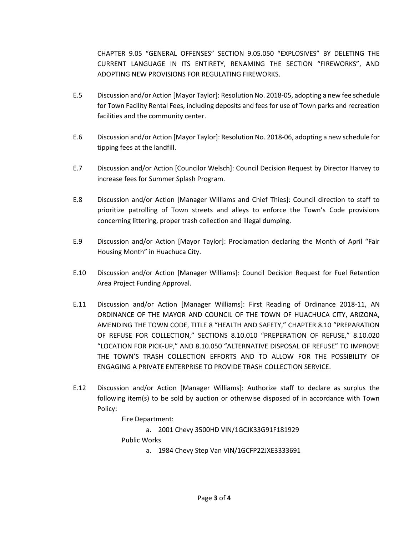CHAPTER 9.05 "GENERAL OFFENSES" SECTION 9.05.050 "EXPLOSIVES" BY DELETING THE CURRENT LANGUAGE IN ITS ENTIRETY, RENAMING THE SECTION "FIREWORKS", AND ADOPTING NEW PROVISIONS FOR REGULATING FIREWORKS.

- E.5 Discussion and/or Action [Mayor Taylor]: Resolution No. 2018-05, adopting a new fee schedule for Town Facility Rental Fees, including deposits and fees for use of Town parks and recreation facilities and the community center.
- E.6 Discussion and/or Action [Mayor Taylor]: Resolution No. 2018-06, adopting a new schedule for tipping fees at the landfill.
- E.7 Discussion and/or Action [Councilor Welsch]: Council Decision Request by Director Harvey to increase fees for Summer Splash Program.
- E.8 Discussion and/or Action [Manager Williams and Chief Thies]: Council direction to staff to prioritize patrolling of Town streets and alleys to enforce the Town's Code provisions concerning littering, proper trash collection and illegal dumping.
- E.9 Discussion and/or Action [Mayor Taylor]: Proclamation declaring the Month of April "Fair Housing Month" in Huachuca City.
- E.10 Discussion and/or Action [Manager Williams]: Council Decision Request for Fuel Retention Area Project Funding Approval.
- E.11 Discussion and/or Action [Manager Williams]: First Reading of Ordinance 2018-11, AN ORDINANCE OF THE MAYOR AND COUNCIL OF THE TOWN OF HUACHUCA CITY, ARIZONA, AMENDING THE TOWN CODE, TITLE 8 "HEALTH AND SAFETY," CHAPTER 8.10 "PREPARATION OF REFUSE FOR COLLECTION," SECTIONS 8.10.010 "PREPERATION OF REFUSE," 8.10.020 "LOCATION FOR PICK-UP," AND 8.10.050 "ALTERNATIVE DISPOSAL OF REFUSE" TO IMPROVE THE TOWN'S TRASH COLLECTION EFFORTS AND TO ALLOW FOR THE POSSIBILITY OF ENGAGING A PRIVATE ENTERPRISE TO PROVIDE TRASH COLLECTION SERVICE.
- E.12 Discussion and/or Action [Manager Williams]: Authorize staff to declare as surplus the following item(s) to be sold by auction or otherwise disposed of in accordance with Town Policy:

Fire Department:

a. 2001 Chevy 3500HD VIN/1GCJK33G91F181929

Public Works

a. 1984 Chevy Step Van VIN/1GCFP22JXE3333691